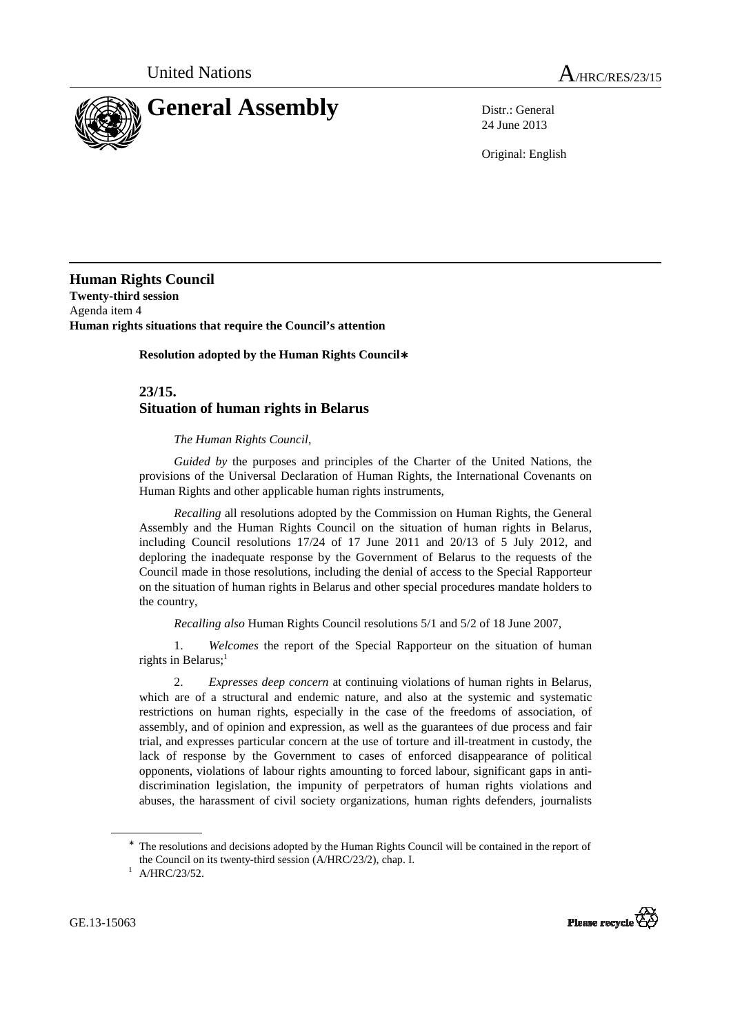

24 June 2013

Original: English

**Human Rights Council Twenty-third session**  Agenda item 4 **Human rights situations that require the Council's attention** 

 **Resolution adopted by the Human Rights Council**∗

## **23/15. Situation of human rights in Belarus**

## *The Human Rights Council*,

*Guided by* the purposes and principles of the Charter of the United Nations, the provisions of the Universal Declaration of Human Rights, the International Covenants on Human Rights and other applicable human rights instruments,

*Recalling* all resolutions adopted by the Commission on Human Rights, the General Assembly and the Human Rights Council on the situation of human rights in Belarus, including Council resolutions 17/24 of 17 June 2011 and 20/13 of 5 July 2012, and deploring the inadequate response by the Government of Belarus to the requests of the Council made in those resolutions, including the denial of access to the Special Rapporteur on the situation of human rights in Belarus and other special procedures mandate holders to the country,

*Recalling also* Human Rights Council resolutions 5/1 and 5/2 of 18 June 2007,

 1. *Welcomes* the report of the Special Rapporteur on the situation of human rights in Belarus; $<sup>1</sup>$ </sup>

 2. *Expresses deep concern* at continuing violations of human rights in Belarus, which are of a structural and endemic nature, and also at the systemic and systematic restrictions on human rights, especially in the case of the freedoms of association, of assembly, and of opinion and expression, as well as the guarantees of due process and fair trial, and expresses particular concern at the use of torture and ill-treatment in custody, the lack of response by the Government to cases of enforced disappearance of political opponents, violations of labour rights amounting to forced labour, significant gaps in antidiscrimination legislation, the impunity of perpetrators of human rights violations and abuses, the harassment of civil society organizations, human rights defenders, journalists

GE.13-15063

 $\overline{a}$ 



<sup>∗</sup> The resolutions and decisions adopted by the Human Rights Council will be contained in the report of the Council on its twenty-third session (A/HRC/23/2), chap. I.

 $^1$  A/HRC/23/52.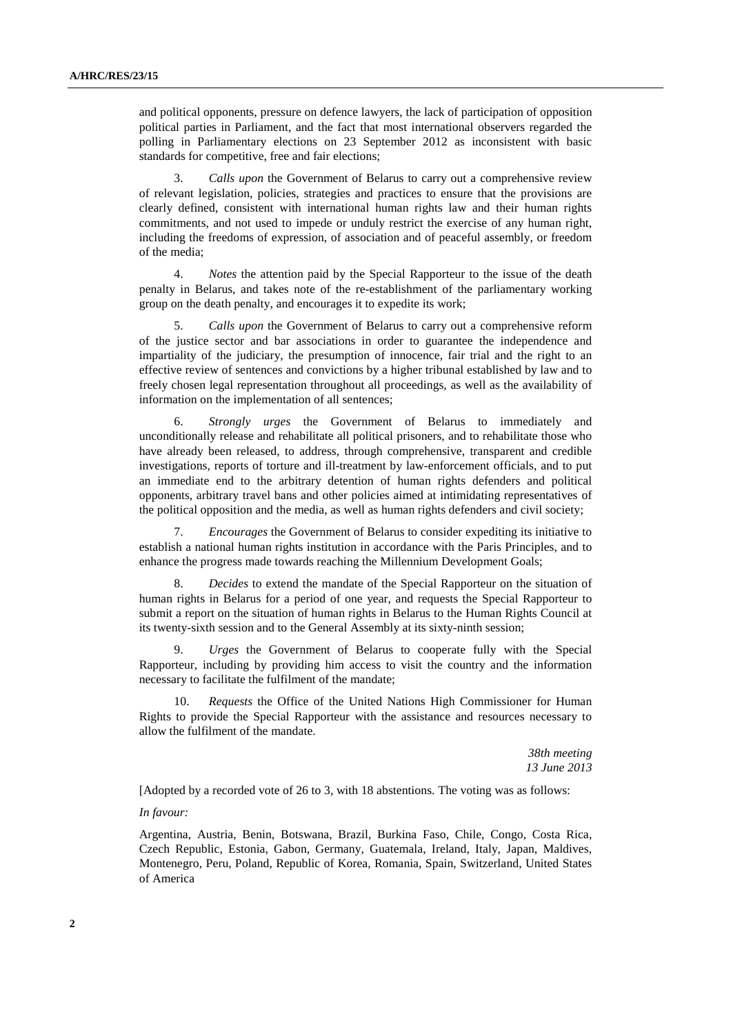and political opponents, pressure on defence lawyers, the lack of participation of opposition political parties in Parliament, and the fact that most international observers regarded the polling in Parliamentary elections on 23 September 2012 as inconsistent with basic standards for competitive, free and fair elections;

 3. *Calls upon* the Government of Belarus to carry out a comprehensive review of relevant legislation, policies, strategies and practices to ensure that the provisions are clearly defined, consistent with international human rights law and their human rights commitments, and not used to impede or unduly restrict the exercise of any human right, including the freedoms of expression, of association and of peaceful assembly, or freedom of the media;

 4. *Notes* the attention paid by the Special Rapporteur to the issue of the death penalty in Belarus, and takes note of the re-establishment of the parliamentary working group on the death penalty, and encourages it to expedite its work;

 5. *Calls upon* the Government of Belarus to carry out a comprehensive reform of the justice sector and bar associations in order to guarantee the independence and impartiality of the judiciary, the presumption of innocence, fair trial and the right to an effective review of sentences and convictions by a higher tribunal established by law and to freely chosen legal representation throughout all proceedings, as well as the availability of information on the implementation of all sentences;

 6. *Strongly urges* the Government of Belarus to immediately and unconditionally release and rehabilitate all political prisoners, and to rehabilitate those who have already been released, to address, through comprehensive, transparent and credible investigations, reports of torture and ill-treatment by law-enforcement officials, and to put an immediate end to the arbitrary detention of human rights defenders and political opponents, arbitrary travel bans and other policies aimed at intimidating representatives of the political opposition and the media, as well as human rights defenders and civil society;

 7. *Encourages* the Government of Belarus to consider expediting its initiative to establish a national human rights institution in accordance with the Paris Principles, and to enhance the progress made towards reaching the Millennium Development Goals;

 8. *Decides* to extend the mandate of the Special Rapporteur on the situation of human rights in Belarus for a period of one year, and requests the Special Rapporteur to submit a report on the situation of human rights in Belarus to the Human Rights Council at its twenty-sixth session and to the General Assembly at its sixty-ninth session;

 9. *Urges* the Government of Belarus to cooperate fully with the Special Rapporteur, including by providing him access to visit the country and the information necessary to facilitate the fulfilment of the mandate;

*Requests* the Office of the United Nations High Commissioner for Human Rights to provide the Special Rapporteur with the assistance and resources necessary to allow the fulfilment of the mandate.

> *38th meeting 13 June 2013*

[Adopted by a recorded vote of 26 to 3, with 18 abstentions. The voting was as follows:

## *In favour:*

Argentina, Austria, Benin, Botswana, Brazil, Burkina Faso, Chile, Congo, Costa Rica, Czech Republic, Estonia, Gabon, Germany, Guatemala, Ireland, Italy, Japan, Maldives, Montenegro, Peru, Poland, Republic of Korea, Romania, Spain, Switzerland, United States of America